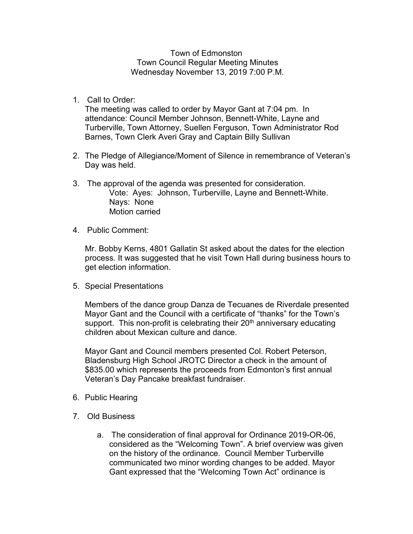Town of Edmonston Town Council Regular Meeting Minutes Wednesday November 13, 2019 7:00 P.M.

1. Call to Order:

The meeting was called to order by Mayor Gant at 7:04 pm. In attendance: Council Member Johnson, Bennett-White, Layne and Turberville, Town Attorney, Suellen Ferguson, Town Administrator Rod Barnes, Town Clerk Averi Gray and Captain Billy Sullivan

- 2. The Pledge of Allegiance/Moment of Silence in remembrance of Veteran's Day was held.
- 3. The approval of the agenda was presented for consideration. Vote: Ayes: Johnson, Turberville, Layne and Bennett-White. Nays: None Motion carried
- 4. Public Comment:

Mr. Bobby Kerns, 4801 Gallatin St asked about the dates for the election process. It was suggested that he visit Town Hall during business hours to get election information.

5. Special Presentations

Members of the dance group Danza de Tecuanes de Riverdale presented Mayor Gant and the Council with a certificate of "thanks" for the Town's support. This non-profit is celebrating their  $20<sup>th</sup>$  anniversary educating children about Mexican culture and dance.

Mayor Gant and Council members presented Col. Robert Peterson, Bladensburg High School JROTC Director a check in the amount of \$835.00 which represents the proceeds from Edmonton's first annual Veteran's Day Pancake breakfast fundraiser.

- 6. Public Hearing
- 7. Old Business
	- a. The consideration of final approval for Ordinance 2019-OR-06, considered as the "Welcoming Town". A brief overview was given on the history of the ordinance. Council Member Turberville communicated two minor wording changes to be added. Mayor Gant expressed that the "Welcoming Town Act" ordinance is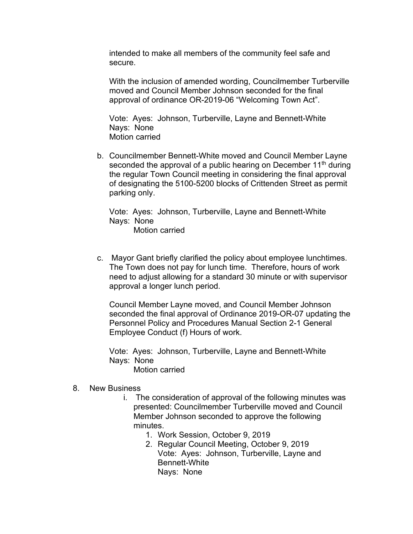intended to make all members of the community feel safe and secure.

With the inclusion of amended wording, Councilmember Turberville moved and Council Member Johnson seconded for the final approval of ordinance OR-2019-06 "Welcoming Town Act".

Vote: Ayes: Johnson, Turberville, Layne and Bennett-White Nays: None Motion carried

b. Councilmember Bennett-White moved and Council Member Layne seconded the approval of a public hearing on December  $11<sup>th</sup>$  during the regular Town Council meeting in considering the final approval of designating the 5100-5200 blocks of Crittenden Street as permit parking only.

Vote: Ayes: Johnson, Turberville, Layne and Bennett-White Nays: None Motion carried

- 
- c. Mayor Gant briefly clarified the policy about employee lunchtimes. The Town does not pay for lunch time. Therefore, hours of work need to adjust allowing for a standard 30 minute or with supervisor approval a longer lunch period.

Council Member Layne moved, and Council Member Johnson seconded the final approval of Ordinance 2019-OR-07 updating the Personnel Policy and Procedures Manual Section 2-1 General Employee Conduct (f) Hours of work.

Vote: Ayes: Johnson, Turberville, Layne and Bennett-White Nays: None

Motion carried

## 8. New Business

- i. The consideration of approval of the following minutes was presented: Councilmember Turberville moved and Council Member Johnson seconded to approve the following minutes.
	- 1. Work Session, October 9, 2019
	- 2. Regular Council Meeting, October 9, 2019 Vote: Ayes: Johnson, Turberville, Layne and Bennett-White Nays: None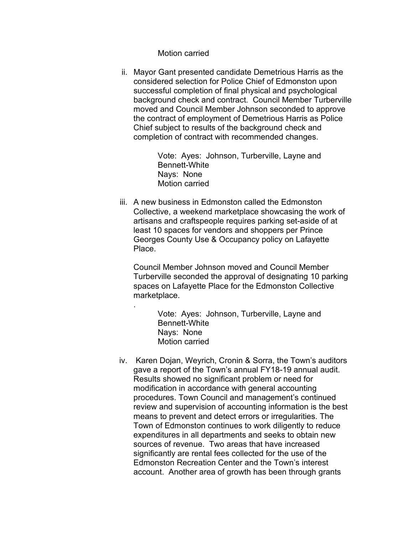Motion carried

.

ii. Mayor Gant presented candidate Demetrious Harris as the considered selection for Police Chief of Edmonston upon successful completion of final physical and psychological background check and contract. Council Member Turberville moved and Council Member Johnson seconded to approve the contract of employment of Demetrious Harris as Police Chief subject to results of the background check and completion of contract with recommended changes.

> Vote: Ayes: Johnson, Turberville, Layne and Bennett-White Nays: None Motion carried

iii. A new business in Edmonston called the Edmonston Collective, a weekend marketplace showcasing the work of artisans and craftspeople requires parking set-aside of at least 10 spaces for vendors and shoppers per Prince Georges County Use & Occupancy policy on Lafayette Place.

Council Member Johnson moved and Council Member Turberville seconded the approval of designating 10 parking spaces on Lafayette Place for the Edmonston Collective marketplace.

> Vote: Ayes: Johnson, Turberville, Layne and Bennett-White Nays: None Motion carried

iv. Karen Dojan, Weyrich, Cronin & Sorra, the Town's auditors gave a report of the Town's annual FY18-19 annual audit. Results showed no significant problem or need for modification in accordance with general accounting procedures. Town Council and management's continued review and supervision of accounting information is the best means to prevent and detect errors or irregularities. The Town of Edmonston continues to work diligently to reduce expenditures in all departments and seeks to obtain new sources of revenue. Two areas that have increased significantly are rental fees collected for the use of the Edmonston Recreation Center and the Town's interest account. Another area of growth has been through grants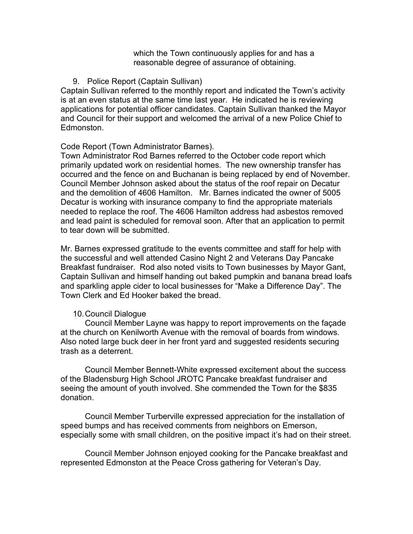which the Town continuously applies for and has a reasonable degree of assurance of obtaining.

## 9. Police Report (Captain Sullivan)

Captain Sullivan referred to the monthly report and indicated the Town's activity is at an even status at the same time last year. He indicated he is reviewing applications for potential officer candidates. Captain Sullivan thanked the Mayor and Council for their support and welcomed the arrival of a new Police Chief to Edmonston.

## Code Report (Town Administrator Barnes).

Town Administrator Rod Barnes referred to the October code report which primarily updated work on residential homes. The new ownership transfer has occurred and the fence on and Buchanan is being replaced by end of November. Council Member Johnson asked about the status of the roof repair on Decatur and the demolition of 4606 Hamilton. Mr. Barnes indicated the owner of 5005 Decatur is working with insurance company to find the appropriate materials needed to replace the roof. The 4606 Hamilton address had asbestos removed and lead paint is scheduled for removal soon. After that an application to permit to tear down will be submitted.

Mr. Barnes expressed gratitude to the events committee and staff for help with the successful and well attended Casino Night 2 and Veterans Day Pancake Breakfast fundraiser. Rod also noted visits to Town businesses by Mayor Gant, Captain Sullivan and himself handing out baked pumpkin and banana bread loafs and sparkling apple cider to local businesses for "Make a Difference Day". The Town Clerk and Ed Hooker baked the bread.

## 10.Council Dialogue

Council Member Layne was happy to report improvements on the façade at the church on Kenilworth Avenue with the removal of boards from windows. Also noted large buck deer in her front yard and suggested residents securing trash as a deterrent.

Council Member Bennett-White expressed excitement about the success of the Bladensburg High School JROTC Pancake breakfast fundraiser and seeing the amount of youth involved. She commended the Town for the \$835 donation.

Council Member Turberville expressed appreciation for the installation of speed bumps and has received comments from neighbors on Emerson, especially some with small children, on the positive impact it's had on their street.

Council Member Johnson enjoyed cooking for the Pancake breakfast and represented Edmonston at the Peace Cross gathering for Veteran's Day.